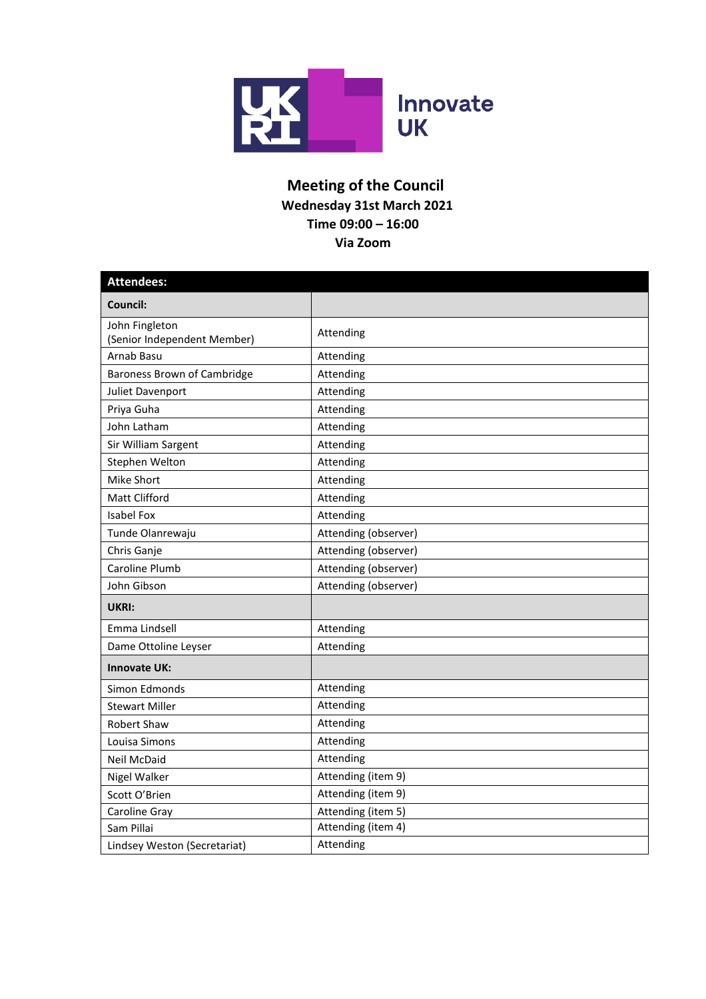

## **Meeting of the Council Wednesday 31st March 2021 Time 09:00 – 16:00 Via Zoom**

| <b>Attendees:</b>                             |                      |  |  |
|-----------------------------------------------|----------------------|--|--|
| Council:                                      |                      |  |  |
| John Fingleton<br>(Senior Independent Member) | Attending            |  |  |
| Arnab Basu                                    | Attending            |  |  |
| Baroness Brown of Cambridge                   | Attending            |  |  |
| Juliet Davenport                              | Attending            |  |  |
| Priya Guha                                    | Attending            |  |  |
| John Latham                                   | Attending            |  |  |
| Sir William Sargent                           | Attending            |  |  |
| Stephen Welton                                | Attending            |  |  |
| Mike Short                                    | Attending            |  |  |
| <b>Matt Clifford</b>                          | Attending            |  |  |
| <b>Isabel Fox</b>                             | Attending            |  |  |
| Tunde Olanrewaju                              | Attending (observer) |  |  |
| Chris Ganje                                   | Attending (observer) |  |  |
| Caroline Plumb                                | Attending (observer) |  |  |
| John Gibson                                   | Attending (observer) |  |  |
| UKRI:                                         |                      |  |  |
| Emma Lindsell                                 | Attending            |  |  |
| Dame Ottoline Leyser                          | Attending            |  |  |
| <b>Innovate UK:</b>                           |                      |  |  |
| Simon Edmonds                                 | Attending            |  |  |
| <b>Stewart Miller</b>                         | Attending            |  |  |
| <b>Robert Shaw</b>                            | Attending            |  |  |
| Louisa Simons                                 | Attending            |  |  |
| <b>Neil McDaid</b>                            | Attending            |  |  |
| Nigel Walker                                  | Attending (item 9)   |  |  |
| Scott O'Brien                                 | Attending (item 9)   |  |  |
| Caroline Gray                                 | Attending (item 5)   |  |  |
| Sam Pillai                                    | Attending (item 4)   |  |  |
| Lindsey Weston (Secretariat)                  | Attending            |  |  |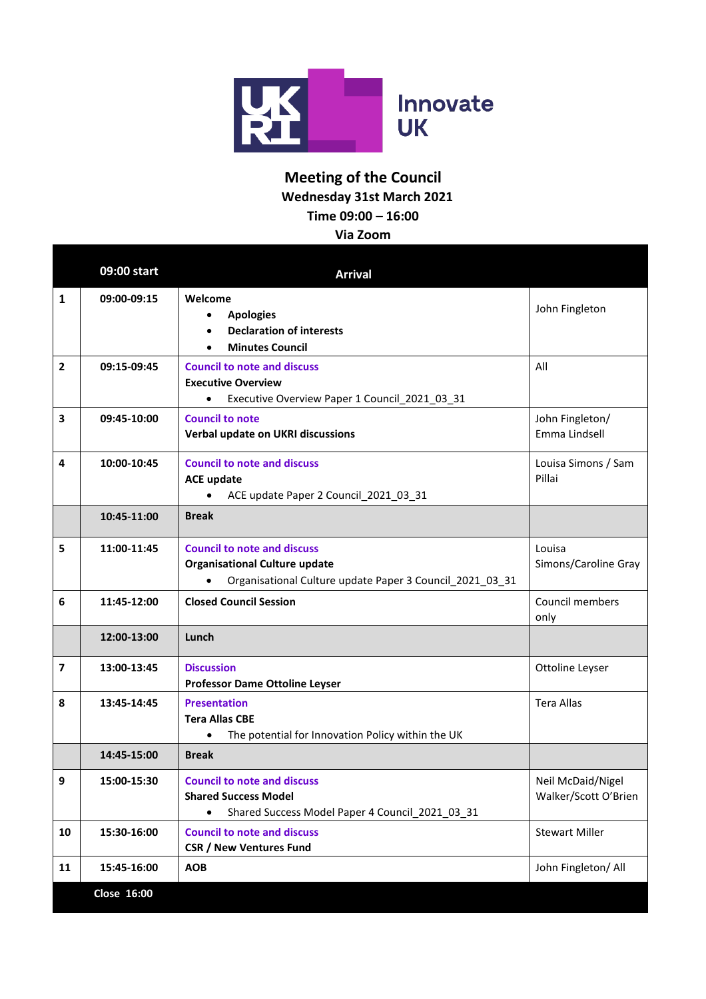

## **Meeting of the Council Wednesday 31st March 2021 Time 09:00 – 16:00**

**Via Zoom**

|                         | 09:00 start | <b>Arrival</b>                                                                                                                         |                                           |
|-------------------------|-------------|----------------------------------------------------------------------------------------------------------------------------------------|-------------------------------------------|
| 1                       | 09:00-09:15 | Welcome<br><b>Apologies</b><br>$\bullet$<br><b>Declaration of interests</b><br>$\bullet$<br><b>Minutes Council</b>                     | John Fingleton                            |
| $\mathbf{2}$            | 09:15-09:45 | <b>Council to note and discuss</b><br><b>Executive Overview</b><br>Executive Overview Paper 1 Council_2021_03_31<br>$\bullet$          | All                                       |
| 3                       | 09:45-10:00 | <b>Council to note</b><br>Verbal update on UKRI discussions                                                                            | John Fingleton/<br>Emma Lindsell          |
| 4                       | 10:00-10:45 | <b>Council to note and discuss</b><br><b>ACE update</b><br>ACE update Paper 2 Council 2021 03 31                                       | Louisa Simons / Sam<br>Pillai             |
|                         | 10:45-11:00 | <b>Break</b>                                                                                                                           |                                           |
| 5                       | 11:00-11:45 | <b>Council to note and discuss</b><br><b>Organisational Culture update</b><br>Organisational Culture update Paper 3 Council_2021_03_31 | Louisa<br>Simons/Caroline Gray            |
| 6                       | 11:45-12:00 | <b>Closed Council Session</b>                                                                                                          | Council members<br>only                   |
|                         | 12:00-13:00 | Lunch                                                                                                                                  |                                           |
| $\overline{\mathbf{z}}$ | 13:00-13:45 | <b>Discussion</b><br><b>Professor Dame Ottoline Leyser</b>                                                                             | Ottoline Leyser                           |
| 8                       | 13:45-14:45 | <b>Presentation</b><br><b>Tera Allas CBE</b><br>The potential for Innovation Policy within the UK<br>$\bullet$                         | <b>Tera Allas</b>                         |
|                         | 14:45-15:00 | <b>Break</b>                                                                                                                           |                                           |
| 9                       | 15:00-15:30 | <b>Council to note and discuss</b><br><b>Shared Success Model</b><br>Shared Success Model Paper 4 Council 2021 03 31<br>$\bullet$      | Neil McDaid/Nigel<br>Walker/Scott O'Brien |
| 10                      | 15:30-16:00 | <b>Council to note and discuss</b><br><b>CSR / New Ventures Fund</b>                                                                   | <b>Stewart Miller</b>                     |
| 11                      | 15:45-16:00 | <b>AOB</b>                                                                                                                             | John Fingleton/ All                       |
|                         | Close 16:00 |                                                                                                                                        |                                           |